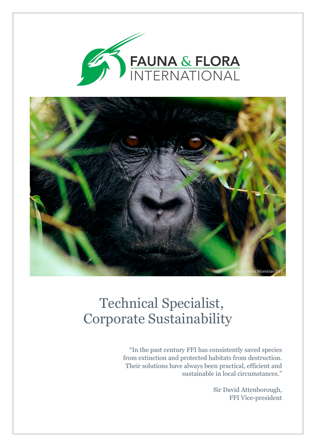



# Technical Specialist, Corporate Sustainability

"In the past century FFI has consistently saved species from extinction and protected habitats from destruction. Their solutions have always been practical, efficient and sustainable in local circumstances."

> Sir David Attenborough, FFI Vice-president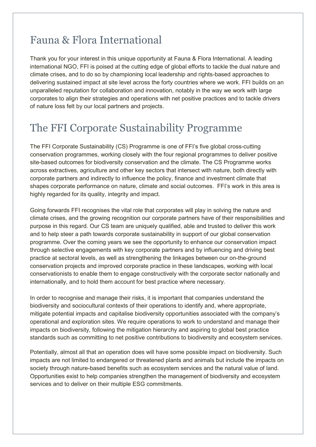### Fauna & Flora International

Thank you for your interest in this unique opportunity at Fauna & Flora International. A leading international NGO, FFI is poised at the cutting edge of global efforts to tackle the dual nature and climate crises, and to do so by championing local leadership and rights-based approaches to delivering sustained impact at site level across the forty countries where we work. FFI builds on an unparalleled reputation for collaboration and innovation, notably in the way we work with large corporates to align their strategies and operations with net positive practices and to tackle drivers of nature loss felt by our local partners and projects.

### The FFI Corporate Sustainability Programme

The FFI Corporate Sustainability (CS) Programme is one of FFI's five global cross-cutting conservation programmes, working closely with the four regional programmes to deliver positive site-based outcomes for biodiversity conservation and the climate. The CS Programme works across extractives, agriculture and other key sectors that intersect with nature, both directly with corporate partners and indirectly to influence the policy, finance and investment climate that shapes corporate performance on nature, climate and social outcomes. FFI's work in this area is highly regarded for its quality, integrity and impact.

Going forwards FFI recognises the vital role that corporates will play in solving the nature and climate crises, and the growing recognition our corporate partners have of their responsibilities and purpose in this regard. Our CS team are uniquely qualified, able and trusted to deliver this work and to help steer a path towards corporate sustainability in support of our global conservation programme. Over the coming years we see the opportunity to enhance our conservation impact through selective engagements with key corporate partners and by influencing and driving best practice at sectoral levels, as well as strengthening the linkages between our on-the-ground conservation projects and improved corporate practice in these landscapes, working with local conservationists to enable them to engage constructively with the corporate sector nationally and internationally, and to hold them account for best practice where necessary.

In order to recognise and manage their risks, it is important that companies understand the biodiversity and sociocultural contexts of their operations to identify and, where appropriate, mitigate potential impacts and capitalise biodiversity opportunities associated with the company's operational and exploration sites. We require operations to work to understand and manage their impacts on biodiversity, following the mitigation hierarchy and aspiring to global best practice standards such as committing to net positive contributions to biodiversity and ecosystem services.

Potentially, almost all that an operation does will have some possible impact on biodiversity. Such impacts are not limited to endangered or threatened plants and animals but include the impacts on society through nature-based benefits such as ecosystem services and the natural value of land. Opportunities exist to help companies strengthen the management of biodiversity and ecosystem services and to deliver on their multiple ESG commitments.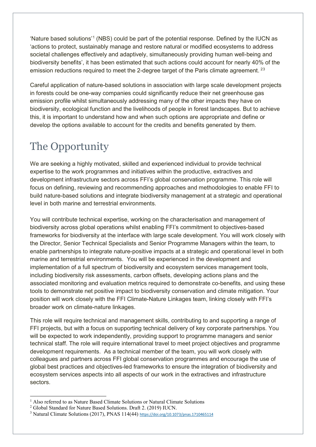'Nature based solutions'[1](#page-2-0) (NBS) could be part of the potential response. Defined by the IUCN as 'actions to protect, sustainably manage and restore natural or modified ecosystems to address societal challenges effectively and adaptively, simultaneously providing human well-being and biodiversity benefits', it has been estimated that such actions could account for nearly 40% of the emission reductions required to meet the [2](#page-2-1)-degree target of the Paris climate agreement.<sup>2[3](#page-2-2)</sup>

Careful application of nature-based solutions in association with large scale development projects in forests could be one-way companies could significantly reduce their net greenhouse gas emission profile whilst simultaneously addressing many of the other impacts they have on biodiversity, ecological function and the livelihoods of people in forest landscapes. But to achieve this, it is important to understand how and when such options are appropriate and define or develop the options available to account for the credits and benefits generated by them.

## The Opportunity

We are seeking a highly motivated, skilled and experienced individual to provide technical expertise to the work programmes and initiatives within the productive, extractives and development infrastructure sectors across FFI's global conservation programme. This role will focus on defining, reviewing and recommending approaches and methodologies to enable FFI to build nature-based solutions and integrate biodiversity management at a strategic and operational level in both marine and terrestrial environments.

You will contribute technical expertise, working on the characterisation and management of biodiversity across global operations whilst enabling FFI's commitment to objectives-based frameworks for biodiversity at the interface with large scale development. You will work closely with the Director, Senior Technical Specialists and Senior Programme Managers within the team, to enable partnerships to integrate nature-positive impacts at a strategic and operational level in both marine and terrestrial environments. You will be experienced in the development and implementation of a full spectrum of biodiversity and ecosystem services management tools, including biodiversity risk assessments, carbon offsets, developing actions plans and the associated monitoring and evaluation metrics required to demonstrate co-benefits, and using these tools to demonstrate net positive impact to biodiversity conservation and climate mitigation. Your position will work closely with the FFI Climate-Nature Linkages team, linking closely with FFI's broader work on climate-nature linkages.

This role will require technical and management skills, contributing to and supporting a range of FFI projects, but with a focus on supporting technical delivery of key corporate partnerships. You will be expected to work independently, providing support to programme managers and senior technical staff. The role will require international travel to meet project objectives and programme development requirements. As a technical member of the team, you will work closely with colleagues and partners across FFI global conservation programmes and encourage the use of global best practices and objectives-led frameworks to ensure the integration of biodiversity and ecosystem services aspects into all aspects of our work in the extractives and infrastructure sectors.

<span id="page-2-0"></span><sup>&</sup>lt;sup>1</sup> Also referred to as Nature Based Climate Solutions or Natural Climate Solutions  $^2$  Global Standard for Nature Based Solutions. Draft 2. (2019) IUCN.

<span id="page-2-1"></span>

<span id="page-2-2"></span> $3$  Natural Climate Solutions (2017), PNAS 114(44) <https://doi.org/10.1073/pnas.1710465114>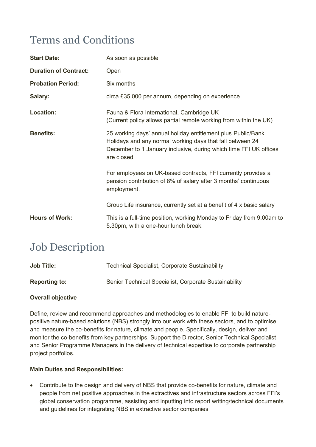### Terms and Conditions

| <b>Start Date:</b>           | As soon as possible                                                                                                                                                                                          |
|------------------------------|--------------------------------------------------------------------------------------------------------------------------------------------------------------------------------------------------------------|
| <b>Duration of Contract:</b> | Open                                                                                                                                                                                                         |
| <b>Probation Period:</b>     | Six months                                                                                                                                                                                                   |
| Salary:                      | circa £35,000 per annum, depending on experience                                                                                                                                                             |
| <b>Location:</b>             | Fauna & Flora International, Cambridge UK<br>(Current policy allows partial remote working from within the UK)                                                                                               |
| <b>Benefits:</b>             | 25 working days' annual holiday entitlement plus Public/Bank<br>Holidays and any normal working days that fall between 24<br>December to 1 January inclusive, during which time FFI UK offices<br>are closed |
|                              | For employees on UK-based contracts, FFI currently provides a<br>pension contribution of 8% of salary after 3 months' continuous<br>employment.                                                              |
|                              | Group Life insurance, currently set at a benefit of 4 x basic salary                                                                                                                                         |
| <b>Hours of Work:</b>        | This is a full-time position, working Monday to Friday from 9.00am to<br>5.30pm, with a one-hour lunch break.                                                                                                |

### Job Description

| <b>Job Title:</b>    | <b>Technical Specialist, Corporate Sustainability</b> |
|----------------------|-------------------------------------------------------|
| <b>Reporting to:</b> | Senior Technical Specialist, Corporate Sustainability |

#### **Overall objective**

Define, review and recommend approaches and methodologies to enable FFI to build naturepositive nature-based solutions (NBS) strongly into our work with these sectors, and to optimise and measure the co-benefits for nature, climate and people. Specifically, design, deliver and monitor the co-benefits from key partnerships. Support the Director, Senior Technical Specialist and Senior Programme Managers in the delivery of technical expertise to corporate partnership project portfolios.

#### **Main Duties and Responsibilities:**

• Contribute to the design and delivery of NBS that provide co-benefits for nature, climate and people from net positive approaches in the extractives and infrastructure sectors across FFI's global conservation programme, assisting and inputting into report writing/technical documents and guidelines for integrating NBS in extractive sector companies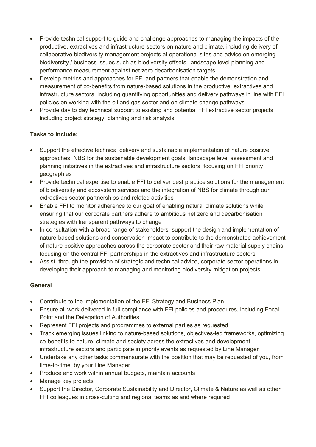- Provide technical support to quide and challenge approaches to managing the impacts of the productive, extractives and infrastructure sectors on nature and climate, including delivery of collaborative biodiversity management projects at operational sites and advice on emerging biodiversity / business issues such as biodiversity offsets, landscape level planning and performance measurement against net zero decarbonisation targets
- Develop metrics and approaches for FFI and partners that enable the demonstration and measurement of co-benefits from nature-based solutions in the productive, extractives and infrastructure sectors, including quantifying opportunities and delivery pathways in line with FFI policies on working with the oil and gas sector and on climate change pathways
- Provide day to day technical support to existing and potential FFI extractive sector projects including project strategy, planning and risk analysis

#### **Tasks to include:**

- Support the effective technical delivery and sustainable implementation of nature positive approaches, NBS for the sustainable development goals, landscape level assessment and planning initiatives in the extractives and infrastructure sectors, focusing on FFI priority geographies
- Provide technical expertise to enable FFI to deliver best practice solutions for the management of biodiversity and ecosystem services and the integration of NBS for climate through our extractives sector partnerships and related activities
- Enable FFI to monitor adherence to our goal of enabling natural climate solutions while ensuring that our corporate partners adhere to ambitious net zero and decarbonisation strategies with transparent pathways to change
- In consultation with a broad range of stakeholders, support the design and implementation of nature-based solutions and conservation impact to contribute to the demonstrated achievement of nature positive approaches across the corporate sector and their raw material supply chains, focusing on the central FFI partnerships in the extractives and infrastructure sectors
- Assist, through the provision of strategic and technical advice, corporate sector operations in developing their approach to managing and monitoring biodiversity mitigation projects

#### **General**

- Contribute to the implementation of the FFI Strategy and Business Plan
- Ensure all work delivered in full compliance with FFI policies and procedures, including Focal Point and the Delegation of Authorities
- Represent FFI projects and programmes to external parties as requested
- Track emerging issues linking to nature-based solutions, objectives-led frameworks, optimizing co-benefits to nature, climate and society across the extractives and development infrastructure sectors and participate in priority events as requested by Line Manager
- Undertake any other tasks commensurate with the position that may be requested of you, from time-to-time, by your Line Manager
- Produce and work within annual budgets, maintain accounts
- Manage key projects
- Support the Director, Corporate Sustainability and Director, Climate & Nature as well as other FFI colleagues in cross-cutting and regional teams as and where required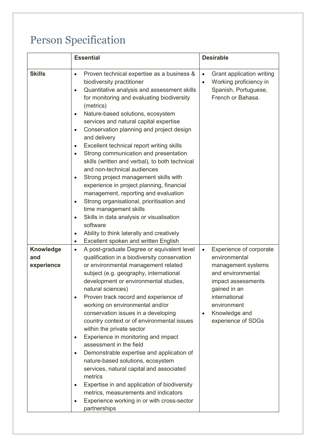## Person Specification

|                                       | <b>Essential</b>                                                                                                                                                                                                                                                                                                                                                                                                                                                                                                                                                                                                                                                                                                                                                                                                                                                                                                                                                                                     | <b>Desirable</b>                                                                                                                                                                                                           |
|---------------------------------------|------------------------------------------------------------------------------------------------------------------------------------------------------------------------------------------------------------------------------------------------------------------------------------------------------------------------------------------------------------------------------------------------------------------------------------------------------------------------------------------------------------------------------------------------------------------------------------------------------------------------------------------------------------------------------------------------------------------------------------------------------------------------------------------------------------------------------------------------------------------------------------------------------------------------------------------------------------------------------------------------------|----------------------------------------------------------------------------------------------------------------------------------------------------------------------------------------------------------------------------|
| <b>Skills</b>                         | Proven technical expertise as a business &<br>$\bullet$<br>biodiversity practitioner<br>Quantitative analysis and assessment skills<br>$\bullet$<br>for monitoring and evaluating biodiversity<br>(metrics)<br>Nature-based solutions, ecosystem<br>$\bullet$<br>services and natural capital expertise<br>Conservation planning and project design<br>$\bullet$<br>and delivery<br>Excellent technical report writing skills<br>$\bullet$<br>Strong communication and presentation<br>$\bullet$<br>skills (written and verbal), to both technical<br>and non-technical audiences<br>Strong project management skills with<br>$\bullet$<br>experience in project planning, financial<br>management, reporting and evaluation<br>Strong organisational, prioritisation and<br>$\bullet$<br>time management skills<br>Skills in data analysis or visualisation<br>$\bullet$<br>software<br>Ability to think laterally and creatively<br>$\bullet$<br>Excellent spoken and written English<br>$\bullet$ | Grant application writing<br>$\bullet$<br>Working proficiency in<br>$\bullet$<br>Spanish, Portuguese,<br>French or Bahasa.                                                                                                 |
| <b>Knowledge</b><br>and<br>experience | A post-graduate Degree or equivalent level<br>$\bullet$<br>qualification in a biodiversity conservation<br>or environmental management related<br>subject (e.g. geography, international<br>development or environmental studies,<br>natural sciences)<br>Proven track record and experience of<br>$\bullet$<br>working on environmental and/or<br>conservation issues in a developing<br>country context or of environmental issues<br>within the private sector<br>Experience in monitoring and impact<br>$\bullet$<br>assessment in the field<br>Demonstrable expertise and application of<br>$\bullet$<br>nature-based solutions, ecosystem<br>services, natural capital and associated<br>metrics<br>Expertise in and application of biodiversity<br>$\bullet$<br>metrics, measurements and indicators<br>Experience working in or with cross-sector<br>partnerships                                                                                                                            | Experience of corporate<br>$\bullet$<br>environmental<br>management systems<br>and environmental<br>impact assessments<br>gained in an<br>international<br>environment<br>Knowledge and<br>$\bullet$<br>experience of SDGs |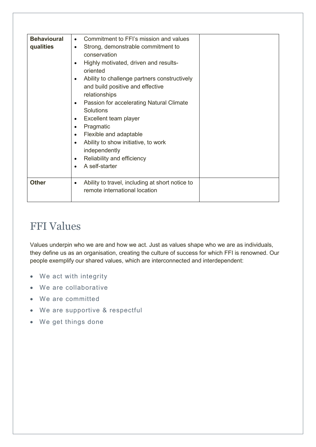| <b>Behavioural</b><br>qualities | Commitment to FFI's mission and values<br>$\bullet$<br>Strong, demonstrable commitment to<br>$\bullet$<br>conservation<br>Highly motivated, driven and results-<br>$\bullet$<br>oriented<br>Ability to challenge partners constructively<br>$\bullet$<br>and build positive and effective<br>relationships<br>Passion for accelerating Natural Climate<br>$\bullet$<br><b>Solutions</b><br>Excellent team player<br>$\bullet$<br>Pragmatic<br>$\bullet$<br>Flexible and adaptable<br>$\bullet$<br>Ability to show initiative, to work<br>$\bullet$<br>independently<br>Reliability and efficiency<br>$\bullet$<br>A self-starter<br>$\bullet$ |  |
|---------------------------------|-----------------------------------------------------------------------------------------------------------------------------------------------------------------------------------------------------------------------------------------------------------------------------------------------------------------------------------------------------------------------------------------------------------------------------------------------------------------------------------------------------------------------------------------------------------------------------------------------------------------------------------------------|--|
| <b>Other</b>                    | Ability to travel, including at short notice to<br>$\bullet$<br>remote international location                                                                                                                                                                                                                                                                                                                                                                                                                                                                                                                                                 |  |

### FFI Values

Values underpin who we are and how we act. Just as values shape who we are as individuals, they define us as an organisation, creating the culture of success for which FFI is renowned. Our people exemplify our shared values, which are interconnected and interdependent:

- We act with integrity
- We are collaborative
- We are committed
- We are supportive & respectful
- We get things done